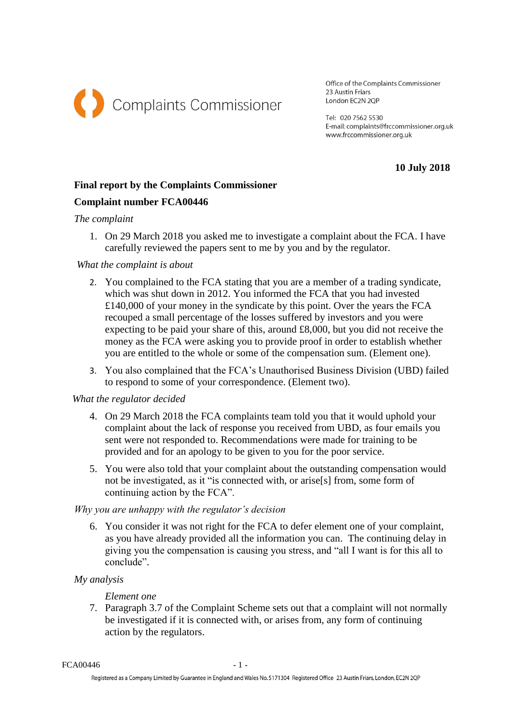

Office of the Complaints Commissioner 23 Austin Friars London EC2N 2OP

Tel: 020 7562 5530 E-mail: complaints@frccommissioner.org.uk www.frccommissioner.org.uk

**10 July 2018**

# **Final report by the Complaints Commissioner**

## **Complaint number FCA00446**

#### *The complaint*

1. On 29 March 2018 you asked me to investigate a complaint about the FCA. I have carefully reviewed the papers sent to me by you and by the regulator.

### *What the complaint is about*

- 2. You complained to the FCA stating that you are a member of a trading syndicate, which was shut down in 2012. You informed the FCA that you had invested £140,000 of your money in the syndicate by this point. Over the years the FCA recouped a small percentage of the losses suffered by investors and you were expecting to be paid your share of this, around £8,000, but you did not receive the money as the FCA were asking you to provide proof in order to establish whether you are entitled to the whole or some of the compensation sum. (Element one).
- 3. You also complained that the FCA's Unauthorised Business Division (UBD) failed to respond to some of your correspondence. (Element two).

### *What the regulator decided*

- 4. On 29 March 2018 the FCA complaints team told you that it would uphold your complaint about the lack of response you received from UBD, as four emails you sent were not responded to. Recommendations were made for training to be provided and for an apology to be given to you for the poor service.
- 5. You were also told that your complaint about the outstanding compensation would not be investigated, as it "is connected with, or arise[s] from, some form of continuing action by the FCA".

### *Why you are unhappy with the regulator's decision*

6. You consider it was not right for the FCA to defer element one of your complaint, as you have already provided all the information you can. The continuing delay in giving you the compensation is causing you stress, and "all I want is for this all to conclude".

### *My analysis*

### *Element one*

7. Paragraph 3.7 of the Complaint Scheme sets out that a complaint will not normally be investigated if it is connected with, or arises from, any form of continuing action by the regulators.